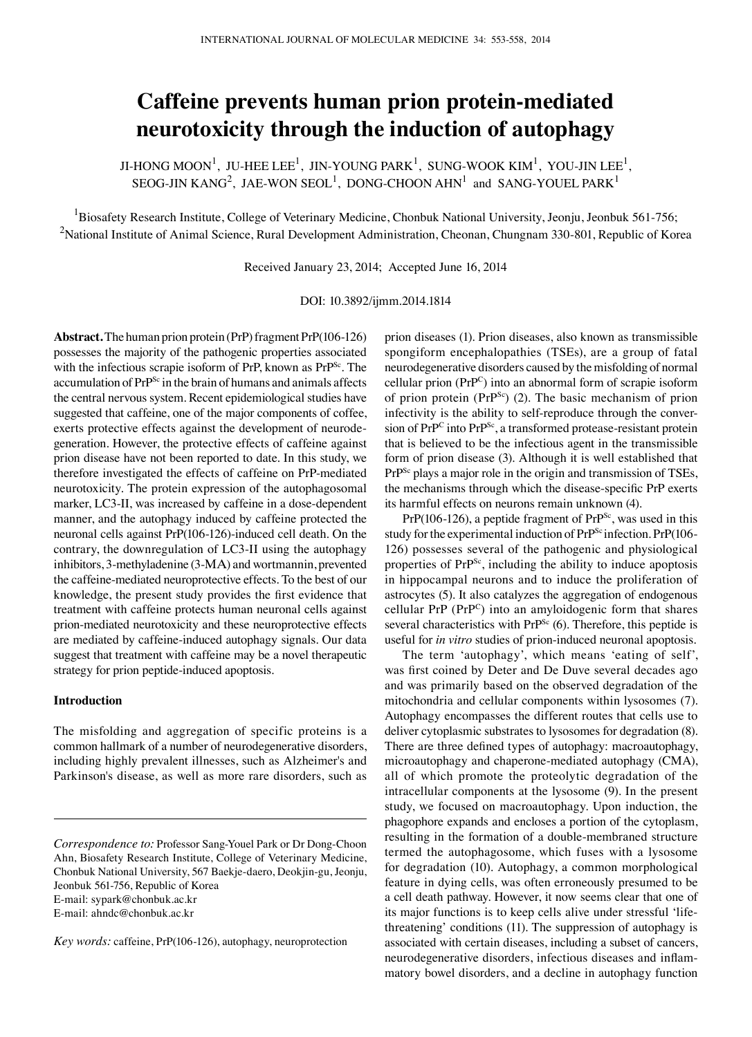# **Caffeine prevents human prion protein-mediated neurotoxicity through the induction of autophagy**

JI-HONG MOON<sup>1</sup>, JU-HEE LEE<sup>1</sup>, JIN-YOUNG PARK<sup>1</sup>, SUNG-WOOK KIM<sup>1</sup>, YOU-JIN LEE<sup>1</sup>, SEOG-JIN KANG<sup>2</sup>, JAE-WON SEOL<sup>1</sup>, DONG-CHOON AHN<sup>1</sup> and SANG-YOUEL PARK<sup>1</sup>

<sup>1</sup>Biosafety Research Institute, College of Veterinary Medicine, Chonbuk National University, Jeonju, Jeonbuk 561-756;  $^2$ National Institute of Animal Science, Rural Development Administration, Cheonan, Chungnam 330-801, Republic of Korea

Received January 23, 2014; Accepted June 16, 2014

DOI: 10.3892/ijmm.2014.1814

**Abstract.** The human prion protein (PrP) fragment PrP(106-126) possesses the majority of the pathogenic properties associated with the infectious scrapie isoform of PrP, known as PrP<sup>Sc</sup>. The accumulation of PrP<sup>Sc</sup> in the brain of humans and animals affects the central nervous system. Recent epidemiological studies have suggested that caffeine, one of the major components of coffee, exerts protective effects against the development of neurodegeneration. However, the protective effects of caffeine against prion disease have not been reported to date. In this study, we therefore investigated the effects of caffeine on PrP-mediated neurotoxicity. The protein expression of the autophagosomal marker, LC3-II, was increased by caffeine in a dose-dependent manner, and the autophagy induced by caffeine protected the neuronal cells against PrP(106-126)-induced cell death. On the contrary, the downregulation of LC3-II using the autophagy inhibitors, 3-methyladenine (3-ΜΑ) and wortmannin, prevented the caffeine-mediated neuroprotective effects. To the best of our knowledge, the present study provides the first evidence that treatment with caffeine protects human neuronal cells against prion-mediated neurotoxicity and these neuroprotective effects are mediated by caffeine-induced autophagy signals. Our data suggest that treatment with caffeine may be a novel therapeutic strategy for prion peptide-induced apoptosis.

## **Introduction**

The misfolding and aggregation of specific proteins is a common hallmark of a number of neurodegenerative disorders, including highly prevalent illnesses, such as Alzheimer's and Parkinson's disease, as well as more rare disorders, such as prion diseases (1). Prion diseases, also known as transmissible spongiform encephalopathies (TSEs), are a group of fatal neurodegenerative disorders caused by the misfolding of normal cellular prion (PrPC) into an abnormal form of scrapie isoform of prion protein ( $PrP^{Sc}$ ) (2). The basic mechanism of prion infectivity is the ability to self-reproduce through the conversion of PrP<sup>C</sup> into PrP<sup>Sc</sup>, a transformed protease-resistant protein that is believed to be the infectious agent in the transmissible form of prion disease (3). Although it is well established that PrP<sup>Sc</sup> plays a major role in the origin and transmission of TSEs, the mechanisms through which the disease-specific PrP exerts its harmful effects on neurons remain unknown (4).

 $PrP(106-126)$ , a peptide fragment of  $PrP^{Sc}$ , was used in this study for the experimental induction of PrP<sup>Sc</sup> infection. PrP(106-126) possesses several of the pathogenic and physiological properties of PrP<sup>Sc</sup>, including the ability to induce apoptosis in hippocampal neurons and to induce the proliferation of astrocytes (5). It also catalyzes the aggregation of endogenous cellular PrP (PrPC) into an amyloidogenic form that shares several characteristics with  $Pr<sup>Sc</sup>$  (6). Therefore, this peptide is useful for *in vitro* studies of prion-induced neuronal apoptosis.

The term 'autophagy', which means 'eating of self', was first coined by Deter and De Duve several decades ago and was primarily based on the observed degradation of the mitochondria and cellular components within lysosomes (7). Autophagy encompasses the different routes that cells use to deliver cytoplasmic substrates to lysosomes for degradation (8). There are three defined types of autophagy: macroautophagy, microautophagy and chaperone-mediated autophagy (CMA), all of which promote the proteolytic degradation of the intracellular components at the lysosome (9). In the present study, we focused on macroautophagy. Upon induction, the phagophore expands and encloses a portion of the cytoplasm, resulting in the formation of a double-membraned structure termed the autophagosome, which fuses with a lysosome for degradation (10). Autophagy, a common morphological feature in dying cells, was often erroneously presumed to be a cell death pathway. However, it now seems clear that one of its major functions is to keep cells alive under stressful 'lifethreatening' conditions (11). The suppression of autophagy is associated with certain diseases, including a subset of cancers, neurodegenerative disorders, infectious diseases and inflammatory bowel disorders, and a decline in autophagy function

*Correspondence to:* Professor Sang-Youel Park or Dr Dong-Choon Ahn, Biosafety Research Institute, College of Veterinary Medicine, Chonbuk National University, 567 Baekje-daero, Deokjin-gu, Jeonju, Jeonbuk 561-756, Republic of Korea E-mail: sypark@chonbuk.ac.kr E-mail: ahndc@chonbuk.ac.kr

*Key words:* caffeine, PrP(106-126), autophagy, neuroprotection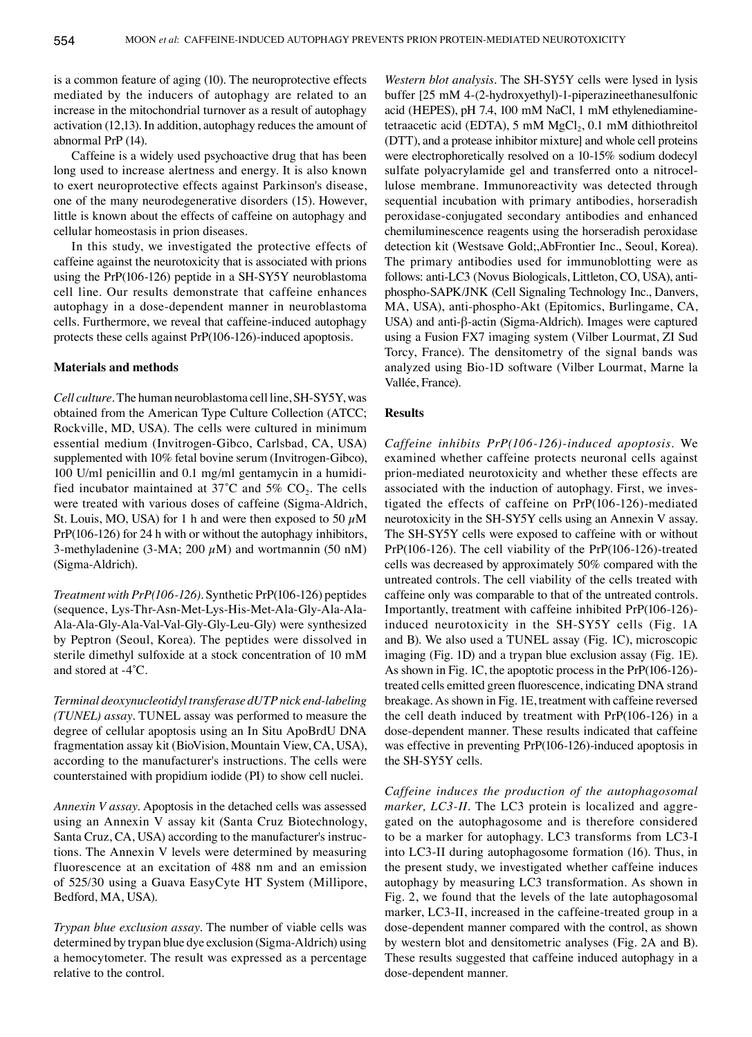is a common feature of aging (10). The neuroprotective effects mediated by the inducers of autophagy are related to an increase in the mitochondrial turnover as a result of autophagy activation (12,13). In addition, autophagy reduces the amount of abnormal PrP (14).

Caffeine is a widely used psychoactive drug that has been long used to increase alertness and energy. It is also known to exert neuroprotective effects against Parkinson's disease, one of the many neurodegenerative disorders (15). However, little is known about the effects of caffeine on autophagy and cellular homeostasis in prion diseases.

In this study, we investigated the protective effects of caffeine against the neurotoxicity that is associated with prions using the PrP(106-126) peptide in a SH-SY5Y neuroblastoma cell line. Our results demonstrate that caffeine enhances autophagy in a dose-dependent manner in neuroblastoma cells. Furthermore, we reveal that caffeine-induced autophagy protects these cells against PrP(106-126)-induced apoptosis.

#### **Materials and methods**

*Cell culture.* The human neuroblastoma cell line, SH-SY5Y, was obtained from the American Type Culture Collection (ATCC; Rockville, MD, USA). The cells were cultured in minimum essential medium (Invitrogen-Gibco, Carlsbad, CA, USA) supplemented with 10% fetal bovine serum (Invitrogen-Gibco), 100 U/ml penicillin and 0.1 mg/ml gentamycin in a humidified incubator maintained at  $37^{\circ}$ C and  $5\%$  CO<sub>2</sub>. The cells were treated with various doses of caffeine (Sigma-Aldrich, St. Louis, MO, USA) for 1 h and were then exposed to 50  $\mu$ M PrP(106-126) for 24 h with or without the autophagy inhibitors, 3-methyladenine (3-MA; 200  $\mu$ M) and wortmannin (50 nM) (Sigma-Aldrich).

*Treatment with PrP(106-126).* Synthetic PrP(106-126) peptides (sequence, Lys-Thr-Asn-Met-Lys-His-Met-Ala-Gly-Ala-Ala-Ala-Ala-Gly-Ala-Val-Val-Gly-Gly-Leu-Gly) were synthesized by Peptron (Seoul, Korea). The peptides were dissolved in sterile dimethyl sulfoxide at a stock concentration of 10 mM and stored at -4˚C.

*Terminal deoxynucleotidyl transferase dUTP nick end-labeling (TUNEL) assay.* TUNEL assay was performed to measure the degree of cellular apoptosis using an In Situ ApoBrdU DNA fragmentation assay kit (BioVision, Mountain View, CA, USA), according to the manufacturer's instructions. The cells were counterstained with propidium iodide (PI) to show cell nuclei.

*Annexin V assay.* Apoptosis in the detached cells was assessed using an Annexin V assay kit (Santa Cruz Biotechnology, Santa Cruz, CA, USA) according to the manufacturer's instructions. The Annexin V levels were determined by measuring fluorescence at an excitation of 488 nm and an emission of 525/30 using a Guava EasyCyte HT System (Millipore, Bedford, MA, USA).

*Trypan blue exclusion assay.* The number of viable cells was determined by trypan blue dye exclusion (Sigma-Aldrich) using a hemocytometer. The result was expressed as a percentage relative to the control.

*Western blot analysis.* The SH-SY5Y cells were lysed in lysis buffer [25 mM 4-(2-hydroxyethyl)-1-piperazineethanesulfonic acid (HEPES), pH 7.4, 100 mM NaCl, 1 mM ethylenediaminetetraacetic acid (EDTA), 5 mM  $MgCl<sub>2</sub>$ , 0.1 mM dithiothreitol (DTT), and a protease inhibitor mixture] and whole cell proteins were electrophoretically resolved on a 10-15% sodium dodecyl sulfate polyacrylamide gel and transferred onto a nitrocellulose membrane. Immunoreactivity was detected through sequential incubation with primary antibodies, horseradish peroxidase-conjugated secondary antibodies and enhanced chemiluminescence reagents using the horseradish peroxidase detection kit (Westsave Gold;,AbFrontier Inc., Seoul, Korea). The primary antibodies used for immunoblotting were as follows: anti-LC3 (Novus Biologicals, Littleton, CO, USA), antiphospho-SAPK/JNK (Cell Signaling Technology Inc., Danvers, MA, USA), anti-phospho-Akt (Epitomics, Burlingame, CA, USA) and anti-β-actin (Sigma-Aldrich). Images were captured using a Fusion FX7 imaging system (Vilber Lourmat, ZI Sud Torcy, France). The densitometry of the signal bands was analyzed using Bio-1D software (Vilber Lourmat, Marne la Vallée, France).

### **Results**

*Caffeine inhibits PrP(106-126)-induced apoptosis.* We examined whether caffeine protects neuronal cells against prion-mediated neurotoxicity and whether these effects are associated with the induction of autophagy. First, we investigated the effects of caffeine on PrP(106-126)-mediated neurotoxicity in the SH-SY5Y cells using an Annexin V assay. The SH-SY5Y cells were exposed to caffeine with or without PrP(106-126). The cell viability of the PrP(106-126)-treated cells was decreased by approximately 50% compared with the untreated controls. The cell viability of the cells treated with caffeine only was comparable to that of the untreated controls. Importantly, treatment with caffeine inhibited PrP(106-126) induced neurotoxicity in the SH-SY5Y cells (Fig. 1A and B). We also used a TUNEL assay (Fig. 1C), microscopic imaging (Fig. 1D) and a trypan blue exclusion assay (Fig. 1E). As shown in Fig. 1C, the apoptotic process in the PrP(106-126) treated cells emitted green fluorescence, indicating DNA strand breakage. As shown in Fig. 1E, treatment with caffeine reversed the cell death induced by treatment with PrP(106-126) in a dose-dependent manner. These results indicated that caffeine was effective in preventing PrP(106-126)-induced apoptosis in the SH-SY5Y cells.

*Caffeine induces the production of the autophagosomal marker, LC3-II.* The LC3 protein is localized and aggregated on the autophagosome and is therefore considered to be a marker for autophagy. LC3 transforms from LC3-I into LC3-II during autophagosome formation (16). Thus, in the present study, we investigated whether caffeine induces autophagy by measuring LC3 transformation. As shown in Fig. 2, we found that the levels of the late autophagosomal marker, LC3-II, increased in the caffeine-treated group in a dose-dependent manner compared with the control, as shown by western blot and densitometric analyses (Fig. 2A and B). These results suggested that caffeine induced autophagy in a dose-dependent manner.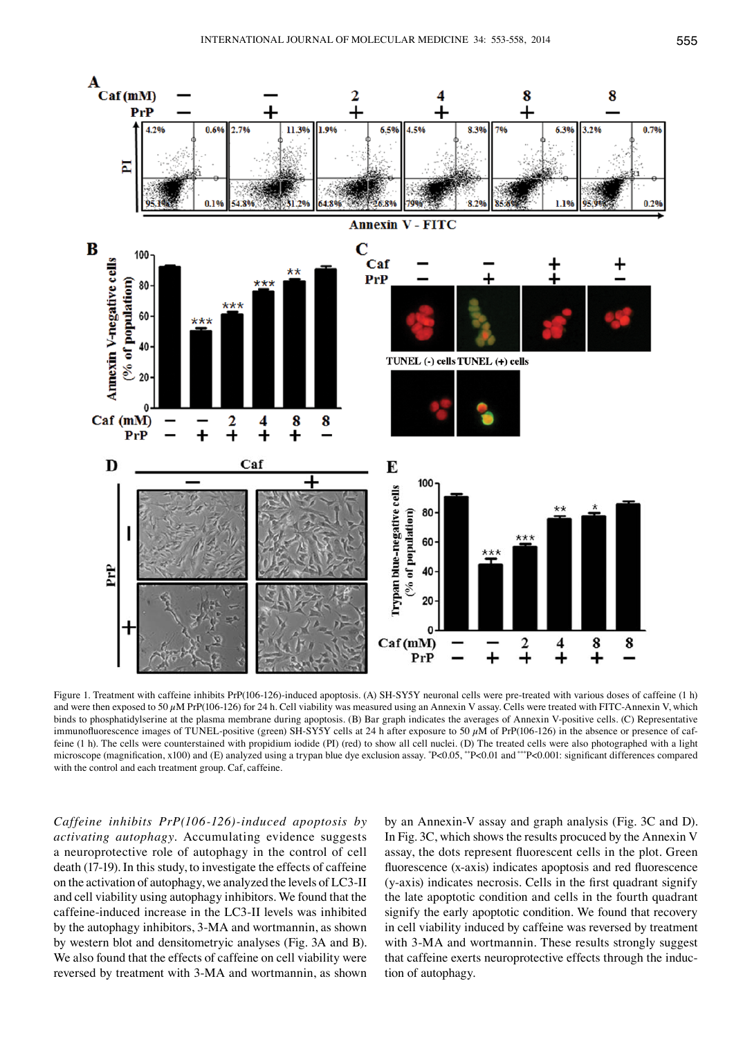

Figure 1. Treatment with caffeine inhibits PrP(106-126)-induced apoptosis. (A) SH-SY5Y neuronal cells were pre-treated with various doses of caffeine (1 h) and were then exposed to 50  $\mu$ M PrP(106-126) for 24 h. Cell viability was measured using an Annexin V assay. Cells were treated with FITC-Annexin V, which binds to phosphatidylserine at the plasma membrane during apoptosis. (B) Bar graph indicates the averages of Annexin V-positive cells. (C) Representative immunofluorescence images of TUNEL-positive (green) SH-SY5Y cells at 24 h after exposure to 50  $\mu$ M of PrP(106-126) in the absence or presence of caffeine (1 h). The cells were counterstained with propidium iodide (PI) (red) to show all cell nuclei. (D) The treated cells were also photographed with a light microscope (magnification, x100) and (E) analyzed using a trypan blue dye exclusion assay.  $P<0.05$ , \*\*P<0.01 and \*\*\*P<0.001: significant differences compared with the control and each treatment group. Caf, caffeine.

*Caffeine inhibits PrP(106-126)-induced apoptosis by activating autophagy.* Accumulating evidence suggests a neuroprotective role of autophagy in the control of cell death (17-19). In this study, to investigate the effects of caffeine on the activation of autophagy, we analyzed the levels of LC3-II and cell viability using autophagy inhibitors. We found that the caffeine-induced increase in the LC3-II levels was inhibited by the autophagy inhibitors, 3-MA and wortmannin, as shown by western blot and densitometryic analyses (Fig. 3A and B). We also found that the effects of caffeine on cell viability were reversed by treatment with 3-MA and wortmannin, as shown

by an Annexin-V assay and graph analysis (Fig. 3C and D). In Fig. 3C, which shows the results procuced by the Annexin V assay, the dots represent fluorescent cells in the plot. Green fluorescence (x-axis) indicates apoptosis and red fluorescence (y-axis) indicates necrosis. Cells in the first quadrant signify the late apoptotic condition and cells in the fourth quadrant signify the early apoptotic condition. We found that recovery in cell viability induced by caffeine was reversed by treatment with 3-MA and wortmannin. These results strongly suggest that caffeine exerts neuroprotective effects through the induction of autophagy.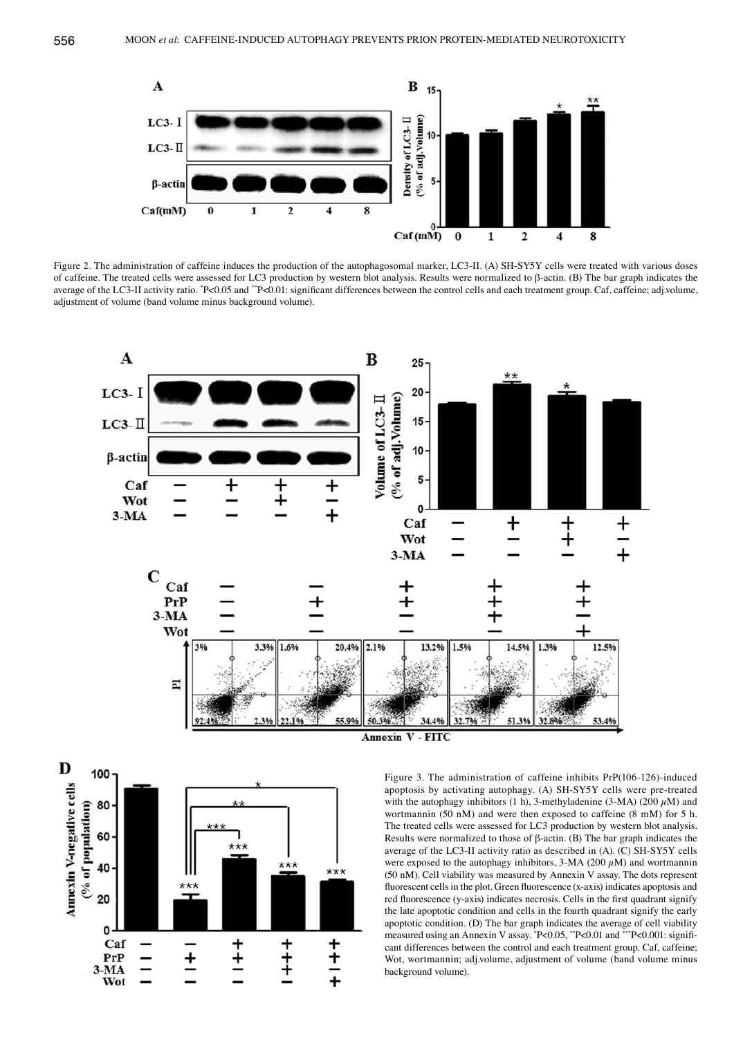

Figure 2. The administration of caffeine induces the production of the autophagosomal marker, LC3-II. (A) SH-SY5Y cells were treated with various doses of caffeine. The treated cells were assessed for LC3 production by western blot analysis. Results were normalized to β-actin. (B) The bar graph indicates the average of the LC3-II activity ratio. \*P<0.05 and \*\*P<0.01: significant differences between the control cells and each treatment group. Caf, caffeine; adj.volume, adjustment of volume (band volume minus background volume).





Figure 3. The administration of caffeine inhibits PrP(106-126)-induced apoptosis by activating autophagy. (A) SH-SY5Y cells were pre-treated with the autophagy inhibitors (1 h), 3-methyladenine (3-MA) (200  $\mu$ M) and wortmannin (50 nM) and were then exposed to caffeine (8 mM) for 5 h. The treated cells were assessed for LC3 production by western blot analysis. Results were normalized to those of  $\beta$ -actin. (B) The bar graph indicates the average of the LC3-II activity ratio as described in (A). (C) SH-SY5Y cells were exposed to the autophagy inhibitors,  $3-MA$  (200  $\mu$ M) and wortmannin (50 nM). Cell viability was measured by Annexin V assay. The dots represent fluorescent cells in the plot. Green fluorescence (x-axis) indicates apoptosis and red fluorescence (y-axis) indicates necrosis. Cells in the first quadrant signify the late apoptotic condition and cells in the fourth quadrant signify the early apoptotic condition. (D) The bar graph indicates the average of cell viability measured using an Annexin V assay.  $P<0.05$ , \*\*P<0.01 and \*\*\*P<0.001: significant differences between the control and each treatment group. Caf, caffeine; Wot, wortmannin; adj.volume, adjustment of volume (band volume minus background volume).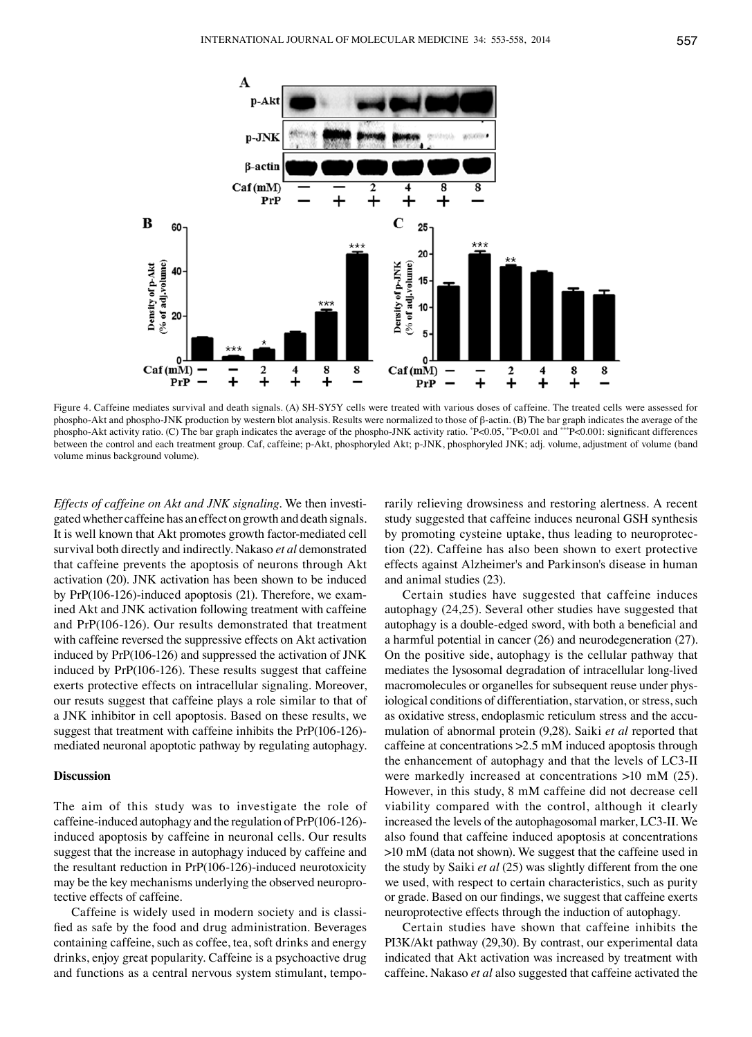

Figure 4. Caffeine mediates survival and death signals. (A) SH-SY5Y cells were treated with various doses of caffeine. The treated cells were assessed for phospho-Akt and phospho-JNK production by western blot analysis. Results were normalized to those of β-actin. (B) The bar graph indicates the average of the phospho-Akt activity ratio. (C) The bar graph indicates the average of the phospho-JNK activity ratio. \*P<0.05, \*\*P<0.01 and \*\*\*P<0.001: significant differences between the control and each treatment group. Caf, caffeine; p-Akt, phosphoryled Akt; p-JNK, phosphoryled JNK; adj. volume, adjustment of volume (band volume minus background volume).

*Effects of caffeine on Akt and JNK signaling.* We then investigated whether caffeine has an effect on growth and death signals. It is well known that Akt promotes growth factor-mediated cell survival both directly and indirectly. Nakaso *et al* demonstrated that caffeine prevents the apoptosis of neurons through Akt activation (20). JNK activation has been shown to be induced by PrP(106-126)-induced apoptosis (21). Therefore, we examined Akt and JNK activation following treatment with caffeine and PrP(106-126). Our results demonstrated that treatment with caffeine reversed the suppressive effects on Akt activation induced by PrP(106-126) and suppressed the activation of JNK induced by PrP(106-126). These results suggest that caffeine exerts protective effects on intracellular signaling. Moreover, our resuts suggest that caffeine plays a role similar to that of a JNK inhibitor in cell apoptosis. Based on these results, we suggest that treatment with caffeine inhibits the PrP(106-126) mediated neuronal apoptotic pathway by regulating autophagy.

#### **Discussion**

The aim of this study was to investigate the role of caffeine-induced autophagy and the regulation of PrP(106-126) induced apoptosis by caffeine in neuronal cells. Our results suggest that the increase in autophagy induced by caffeine and the resultant reduction in PrP(106-126)-induced neurotoxicity may be the key mechanisms underlying the observed neuroprotective effects of caffeine.

Caffeine is widely used in modern society and is classified as safe by the food and drug administration. Beverages containing caffeine, such as coffee, tea, soft drinks and energy drinks, enjoy great popularity. Caffeine is a psychoactive drug and functions as a central nervous system stimulant, temporarily relieving drowsiness and restoring alertness. A recent study suggested that caffeine induces neuronal GSH synthesis by promoting cysteine uptake, thus leading to neuroprotection (22). Caffeine has also been shown to exert protective effects against Alzheimer's and Parkinson's disease in human and animal studies (23).

Certain studies have suggested that caffeine induces autophagy (24,25). Several other studies have suggested that autophagy is a double-edged sword, with both a beneficial and a harmful potential in cancer (26) and neurodegeneration (27). On the positive side, autophagy is the cellular pathway that mediates the lysosomal degradation of intracellular long-lived macromolecules or organelles for subsequent reuse under physiological conditions of differentiation, starvation, or stress, such as oxidative stress, endoplasmic reticulum stress and the accumulation of abnormal protein (9,28). Saiki *et al* reported that caffeine at concentrations >2.5 mM induced apoptosis through the enhancement of autophagy and that the levels of LC3-II were markedly increased at concentrations >10 mM (25). However, in this study, 8 mM caffeine did not decrease cell viability compared with the control, although it clearly increased the levels of the autophagosomal marker, LC3-II. We also found that caffeine induced apoptosis at concentrations >10 mM (data not shown). We suggest that the caffeine used in the study by Saiki *et al* (25) was slightly different from the one we used, with respect to certain characteristics, such as purity or grade. Based on our findings, we suggest that caffeine exerts neuroprotective effects through the induction of autophagy.

Certain studies have shown that caffeine inhibits the PI3K/Akt pathway (29,30). By contrast, our experimental data indicated that Akt activation was increased by treatment with caffeine. Nakaso *et al* also suggested that caffeine activated the